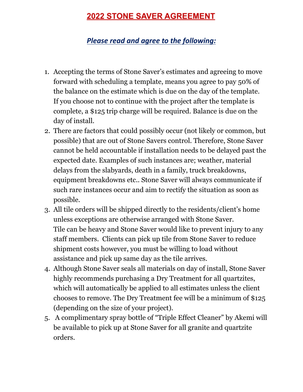## **2022 STONE SAVER AGREEMENT**

## *Please read and agree to the following:*

- 1. Accepting the terms of Stone Saver's estimates and agreeing to move forward with scheduling a template, means you agree to pay 50% of the balance on the estimate which is due on the day of the template. If you choose not to continue with the project after the template is complete, a \$125 trip charge will be required. Balance is due on the day of install.
- 2. There are factors that could possibly occur (not likely or common, but possible) that are out of Stone Savers control. Therefore, Stone Saver cannot be held accountable if installation needs to be delayed past the expected date. Examples of such instances are; weather, material delays from the slabyards, death in a family, truck breakdowns, equipment breakdowns etc.. Stone Saver will always communicate if such rare instances occur and aim to rectify the situation as soon as possible.
- 3. All tile orders will be shipped directly to the residents/client's home unless exceptions are otherwise arranged with Stone Saver. Tile can be heavy and Stone Saver would like to prevent injury to any staff members. Clients can pick up tile from Stone Saver to reduce shipment costs however, you must be willing to load without assistance and pick up same day as the tile arrives.
- 4. Although Stone Saver seals all materials on day of install, Stone Saver highly recommends purchasing a Dry Treatment for all quartzites, which will automatically be applied to all estimates unless the client chooses to remove. The Dry Treatment fee will be a minimum of \$125 (depending on the size of your project).
- 5. A complimentary spray bottle of "Triple Effect Cleaner" by Akemi will be available to pick up at Stone Saver for all granite and quartzite orders.